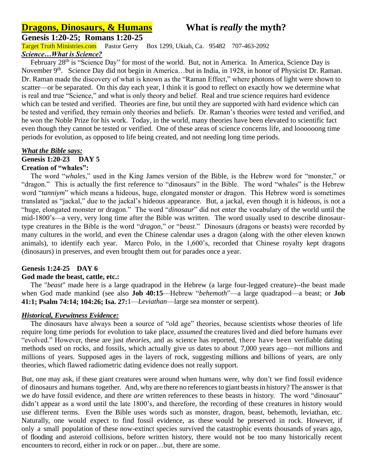# **Dragons, Dinosaurs, & Humans** What is *really* the myth?

**Genesis 1:20-25; Romans 1:20-25**

Target Truth Ministries.com Pastor Gerry Box 1299, Ukiah, Ca. 95482 707-463-2092 *Science…What is Science?*

February 28<sup>th</sup> is "Science Day" for most of the world. But, not in America. In America, Science Day is November 9<sup>th</sup>. Science Day did not begin in America...but in India, in 1928, in honor of Physicist Dr. Raman. Dr. Raman made the discovery of what is known as the "Raman Effect," where photons of light were shown to scatter—or be separated. On this day each year, I think it is good to reflect on exactly how we determine what is real and true "Science," and what is only theory and belief. Real and true science requires hard evidence which can be tested and verified. Theories are fine, but until they are supported with hard evidence which can be tested and verified, they remain only theories and beliefs. Dr. Raman's theories were tested and verified, and he won the Noble Prize for his work. Today, in the world, many theories have been elevated to scientific fact even though they cannot be tested or verified. One of these areas of science concerns life, and loooooong time periods for evolution, as opposed to life being created, and not needing long time periods.

#### *What the Bible says:* **Genesis 1:20-23 DAY 5**

# **Creation of "whales":**

 The word "*whales*," used in the King James version of the Bible, is the Hebrew word for "monster," or "dragon." This is actually the first reference to "dinosaurs" in the Bible. The word "whales" is the Hebrew word "*tanniym*" which means a hideous, huge, elongated monster or dragon. This Hebrew word is sometimes translated as "jackal," due to the jackal's hideous appearance. But, a jackal, even though it is hideous, is not a "huge, elongated monster or dragon." The word "*dinosaur*" did not enter the vocabulary of the world until the mid-1800's—a very, very long time after the Bible was written. The word usually used to describe dinosaurtype creatures in the Bible is the word "*dragon*," or "*beast*." Dinosaurs (dragons or beasts) were recorded by many cultures in the world, and even the Chinese calendar uses a dragon (along with the other eleven known animals), to identify each year. Marco Polo, in the 1,600's, recorded that Chinese royalty kept dragons (dinosaurs) in preserves, and even brought them out for parades once a year.

# **Genesis 1:24-25 DAY 6**

### **God made the beast, cattle, etc.:**

 The "*beast*" made here is a large quadrapod in the Hebrew (a large four-legged creature)--the beast made when God made mankind (see also **Job 40:15**—Hebrew "*behemoth*"—a large quadrapod—a beast; or **Job 41:1; Psalm 74:14; 104:26; Isa. 27:**1—*Leviathan*—large sea monster or serpent).

### *Historical, Eyewitness Evidence:*

 The dinosaurs have always been a source of "old age" theories, because scientists whose theories of life require long time periods for evolution to take place, *assumed* the creatures lived and died before humans ever "evolved." However, these are just *theories,* and as science has reported, there have been verifiable dating methods used on rocks, and fossils, which actually give us dates to about 7,000 years ago—not millions and millions of years. Supposed ages in the layers of rock, suggesting millions and billions of years, are only theories, which flawed radiometric dating evidence does not really support.

But, one may ask, if these giant creatures were around when humans were, why don't we find fossil evidence of dinosaurs and humans together. And, why are there no referencesto giant beastsin history?The answer is that we *do* have fossil evidence, and there *are* written references to these beasts in history. The word "dinosaur" didn't appear as a word until the late 1800's, and therefore, the recording of these creatures in history would use different terms. Even the Bible uses words such as monster, dragon, beast, behemoth, leviathan, etc. Naturally, one would expect to find fossil evidence, as these would be preserved in rock. However, if only a small population of these now-extinct species survived the catastrophic events thousands of years ago, of flooding and asteroid collisions, before written history, there would not be too many historically recent encounters to record, either in rock or on paper…but, there are some.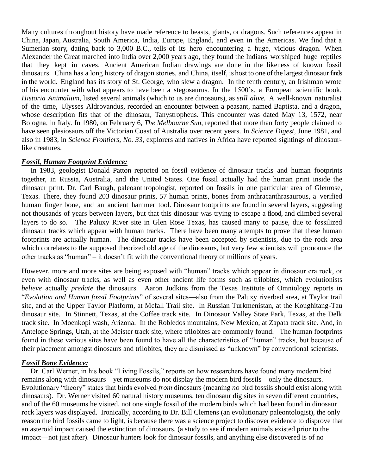Many cultures throughout history have made reference to beasts, giants, or dragons. Such references appear in China, Japan, Australia, South America, India, Europe, England, and even in the Americas. We find that a Sumerian story, dating back to 3,000 B.C., tells of its hero encountering a huge, vicious dragon. When Alexander the Great marched into India over 2,000 years ago, they found the Indians worshiped huge reptiles that they kept in caves. Ancient American Indian drawings are done in the likeness of known fossil dinosaurs. China has a long history of dragon stories, and China, itself, is host to one of the largest dinosaur finds in the world. England has its story of St. George, who slew a dragon. In the tenth century, an Irishman wrote of his encounter with what appears to have been a stegosaurus. In the 1500's, a European scientific book, *Historia Animalium,* listed several animals (which to us are dinosaurs), as *still alive.* A well-known naturalist of the time, Ulysses Aldrovandus, recorded an encounter between a peasant, named Baptista, and a dragon, whose description fits that of the dinosaur, Tanystropheus. This encounter was dated May 13, 1572, near Bologna, in Italy. In 1980, on February 6, *The Melbourne Sun,* reported that more than forty people claimed to have seen plesiosaurs off the Victorian Coast of Australia over recent years. In *Science Digest,* June 1981, and also in 1983, in *Science Frontiers, No. 33,* explorers and natives in Africa have reported sightings of dinosaurlike creatures.

### *Fossil, Human Footprint Evidence:*

 In 1983, geologist Donald Patton reported on fossil evidence of dinosaur tracks and human footprints together, in Russia, Australia, and the United States. One fossil actually had the human print inside the dinosaur print. Dr. Carl Baugh, paleoanthropologist, reported on fossils in one particular area of Glenrose, Texas. There, they found 203 dinosaur prints, 57 human prints, bones from anthracanthrasaurous, a verified human finger bone, and an ancient hammer tool. Dinosaur footprints are found in several layers, suggesting not thousands of years between layers, but that this dinosaur was trying to escape a flood, and climbed several layers to do so. The Paluxy River site in Glen Rose Texas, has caused many to pause, due to fossilized dinosaur tracks which appear with human tracks. There have been many attempts to prove that these human footprints are actually human. The dinosaur tracks have been accepted by scientists, due to the rock area which correlates to the supposed theorized old age of the dinosaurs, but very few scientists will pronounce the other tracks as "human" – it doesn't fit with the conventional theory of millions of years.

However, more and more sites are being exposed with "human" tracks which appear in dinosaur era rock, or even with dinosaur tracks, as well as even other ancient life forms such as trilobites, which evolutionists *believe* actually *predate* the dinosaurs. Aaron Judkins from the Texas Institute of Omniology reports in "*Evolution and Human fossil Footprints*" of several sites—also from the Paluxy riverbed area, at Taylor trail site, and at the Upper Taylor Platform, at Mcfall Trail site. In Russian Turkmenistan, at the Koughitang-Tau dinosaur site. In Stinnett, Texas, at the Coffee track site. In Dinosaur Valley State Park, Texas, at the Delk track site. In Moenkopi wash, Arizona. In the Robledos mountains, New Mexico, at Zapata track site. And, in Antelope Springs, Utah, at the Meister track site, where trilobites are commonly found. The human footprints found in these various sites have been found to have all the characteristics of "human" tracks, but because of their placement amongst dinosaurs and trilobites, they are dismissed as "unknown" by conventional scientists.

# *Fossil Bone Evidence:*

 Dr. Carl Werner, in his book "Living Fossils," reports on how researchers have found many modern bird remains along with dinosaurs—yet museums do not display the modern bird fossils—only the dinosaurs. Evolutionary "theory" states that birds evolved *from* dinosaurs (meaning *no* bird fossils should exist along with dinosaurs). Dr. Werner visited 60 natural history museums, ten dinosaur dig sites in seven different countries, and of the 60 museums he visited, not one single fossil of the modern birds which had been found in dinosaur rock layers was displayed. Ironically, according to Dr. Bill Clemens (an evolutionary paleontologist), the only reason the bird fossils came to light, is because there was a science project to discover evidence to disprove that an asteroid impact caused the extinction of dinosaurs, (a study to see if modern animals existed prior to the impact—not just after). Dinosaur hunters look for dinosaur fossils, and anything else discovered is of no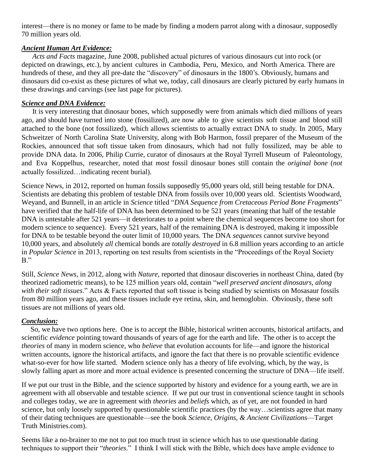interest—there is no money or fame to be made by finding a modern parrot along with a dinosaur, supposedly 70 million years old.

# *Ancient Human Art Evidence:*

 *Acts and Facts* magazine, June 2008, published actual pictures of various dinosaurs cut into rock (or depicted on drawings, etc.), by ancient cultures in Cambodia, Peru, Mexico, and North America. There are hundreds of these, and they all pre-date the "discovery" of dinosaurs in the 1800's. Obviously, humans and dinosaurs did co-exist as these pictures of what we, today, call dinosaurs are clearly pictured by early humans in these drawings and carvings (see last page for pictures).

## *Science and DNA Evidence:*

 It is very interesting that dinosaur bones, which supposedly were from animals which died millions of years ago, and should have turned into stone (fossilized), are now able to give scientists soft tissue and blood still attached to the bone (not fossilized), which allows scientists to actually extract DNA to study. In 2005, Mary Schweitzer of North Carolina State University, along with Bob Harmon, fossil preparer of the Museum of the Rockies, announced that soft tissue taken from dinosaurs, which had not fully fossilized, may be able to provide DNA data. In 2006, Philip Currie, curator of dinosaurs at the Royal Tyrrell Museum of Paleontology, and Eva Koppelhus, researcher, noted that *most* fossil dinosaur bones still contain the *original bone* (*not* actually fossilized…indicating recent burial).

Science News, in 2012, reported on human fossils supposedly 95,000 years old, still being testable for DNA. Scientists are debating this problem of testable DNA from fossils over 10,000 years old. Scientists Woodward, Weyand, and Bunnell, in an article in *Science* titled "*DNA Sequence from Cretaceous Period Bone Fragments*" have verified that the half-life of DNA has been determined to be 521 years (meaning that half of the testable DNA is untestable after 521 years—it deteriorates to a point where the chemical sequences become too short for modern science to sequence). Every 521 years, half of the remaining DNA is destroyed, making it impossible for DNA to be testable beyond the outer limit of 10,000 years. The DNA *sequences* cannot survive beyond 10,000 years, and absolutely *all* chemical bonds are *totally destroyed* in 6.8 million years according to an article in *Popular Science* in 2013, reporting on test results from scientists in the "Proceedings of the Royal Society B."

Still, *Science News*, in 2012, along with *Nature*, reported that dinosaur discoveries in northeast China, dated (by theorized radiometric means), to be 125 million years old, contain "*well preserved ancient dinosaurs, along with their soft tissues*." Acts & Facts reported that soft tissue is being studied by scientists on Mosasaur fossils from 80 million years ago, and these tissues include eye retina, skin, and hemoglobin. Obviously, these soft tissues are not millions of years old.

# *Conclusion:*

 So, we have two options here. One is to accept the Bible, historical written accounts, historical artifacts, and scientific *evidence* pointing toward thousands of years of age for the earth and life. The other is to accept the *theories* of many in modern science, who *believe* that evolution accounts for life—and ignore the historical written accounts, ignore the historical artifacts, and ignore the fact that there is no provable scientific evidence what-so-ever for how life started. Modern science only has a theory of life evolving, which, by the way, is slowly falling apart as more and more actual evidence is presented concerning the structure of DNA—life itself.

If we put our trust in the Bible, and the science supported by history and evidence for a young earth, we are in agreement with all observable and testable science. If we put our trust in conventional science taught in schools and colleges today, we are in agreement with *theories* and *beliefs* which, as of yet, are not founded in hard science, but only loosely supported by questionable scientific practices (by the way…scientists agree that many of their dating techniques are questionable—see the book *Science, Origins, & Ancient Civilizations*—Target Truth Ministries.com).

Seems like a no-brainer to me not to put too much trust in science which has to use questionable dating techniques to support their "*theories*." I think I will stick with the Bible, which does have ample evidence to